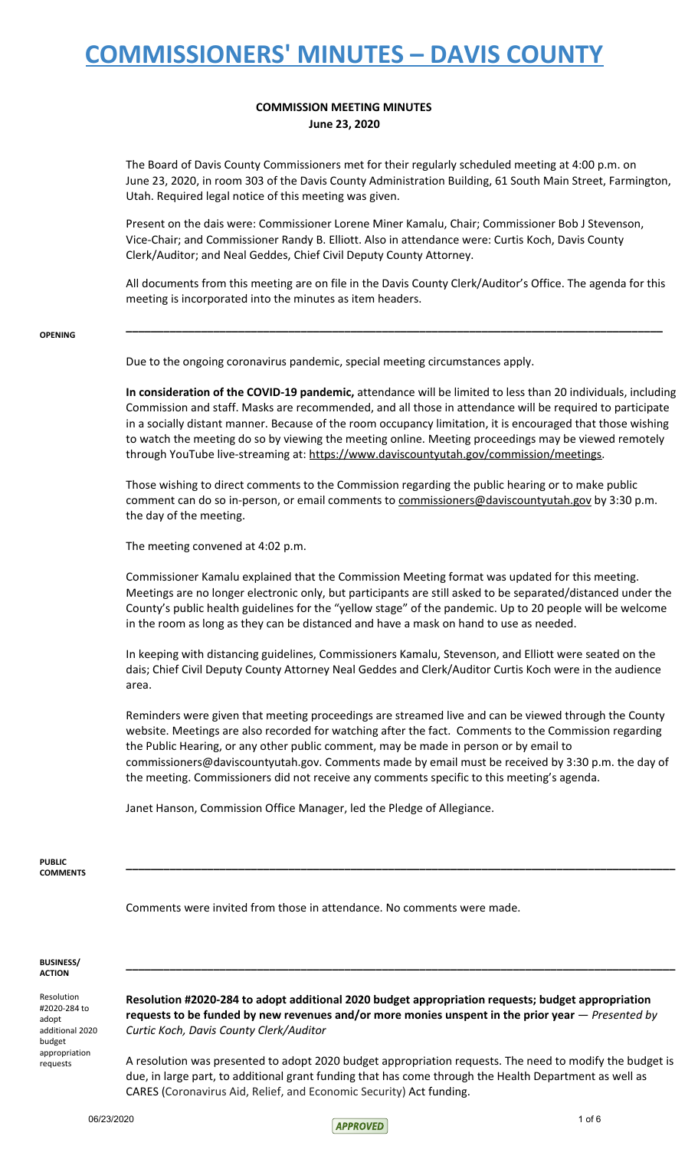### **COMMISSION MEETING MINUTES June 23, 2020**

The Board of Davis County Commissioners met for their regularly scheduled meeting at 4:00 p.m. on June 23, 2020, in room 303 of the Davis County Administration Building, 61 South Main Street, Farmington, Utah. Required legal notice of this meeting was given.

Present on the dais were: Commissioner Lorene Miner Kamalu, Chair; Commissioner Bob J Stevenson, Vice-Chair; and Commissioner Randy B. Elliott. Also in attendance were: Curtis Koch, Davis County Clerk/Auditor; and Neal Geddes, Chief Civil Deputy County Attorney.

All documents from this meeting are on file in the Davis County Clerk/Auditor's Office. The agenda for this meeting is incorporated into the minutes as item headers.

**\_\_\_\_\_\_\_\_\_\_\_\_\_\_\_\_\_\_\_\_\_\_\_\_\_\_\_\_\_\_\_\_\_\_\_\_\_\_\_\_\_\_\_\_\_\_\_\_\_\_\_\_\_\_\_\_\_\_\_\_\_\_\_\_\_\_\_\_\_\_\_\_\_\_\_\_\_\_\_\_\_\_\_\_\_\_**

#### **OPENING**

Due to the ongoing coronavirus pandemic, special meeting circumstances apply.

**In consideration of the COVID-19 pandemic,** attendance will be limited to less than 20 individuals, including Commission and staff. Masks are recommended, and all those in attendance will be required to participate in a socially distant manner. Because of the room occupancy limitation, it is encouraged that those wishing to watch the meeting do so by viewing the meeting online. Meeting proceedings may be viewed remotely through YouTube live-streaming at: https://www.daviscountyutah.gov/commission/meetings.

Those wishing to direct comments to the Commission regarding the public hearing or to make public comment can do so in-person, or email comments to commissioners@daviscountyutah.gov by 3:30 p.m. the day of the meeting.

The meeting convened at 4:02 p.m.

Commissioner Kamalu explained that the Commission Meeting format was updated for this meeting. Meetings are no longer electronic only, but participants are still asked to be separated/distanced under the County's public health guidelines for the "yellow stage" of the pandemic. Up to 20 people will be welcome in the room as long as they can be distanced and have a mask on hand to use as needed.

In keeping with distancing guidelines, Commissioners Kamalu, Stevenson, and Elliott were seated on the dais; Chief Civil Deputy County Attorney Neal Geddes and Clerk/Auditor Curtis Koch were in the audience area.

Reminders were given that meeting proceedings are streamed live and can be viewed through the County website. Meetings are also recorded for watching after the fact. Comments to the Commission regarding the Public Hearing, or any other public comment, may be made in person or by email to commissioners@daviscountyutah.gov. Comments made by email must be received by 3:30 p.m. the day of the meeting. Commissioners did not receive any comments specific to this meeting's agenda.

**\_\_\_\_\_\_\_\_\_\_\_\_\_\_\_\_\_\_\_\_\_\_\_\_\_\_\_\_\_\_\_\_\_\_\_\_\_\_\_\_\_\_\_\_\_\_\_\_\_\_\_\_\_\_\_\_\_\_\_\_\_\_\_\_\_\_\_\_\_\_\_\_\_\_\_\_\_\_\_\_\_\_\_\_\_\_\_\_**

Janet Hanson, Commission Office Manager, led the Pledge of Allegiance.

**PUBLIC COMMENTS**

Comments were invited from those in attendance. No comments were made.

#### **BUSINESS/ ACTION**

Resolution #2020-284 to adopt additional 2020 budget appropriation requests

**Resolution #2020-284 to adopt additional 2020 budget appropriation requests; budget appropriation requests to be funded by new revenues and/or more monies unspent in the prior year** — *Presented by Curtic Koch, Davis County Clerk/Auditor*

**\_\_\_\_\_\_\_\_\_\_\_\_\_\_\_\_\_\_\_\_\_\_\_\_\_\_\_\_\_\_\_\_\_\_\_\_\_\_\_\_\_\_\_\_\_\_\_\_\_\_\_\_\_\_\_\_\_\_\_\_\_\_\_\_\_\_\_\_\_\_\_\_\_\_\_\_\_\_\_\_\_\_\_\_\_\_\_\_**

A resolution was presented to adopt 2020 budget appropriation requests. The need to modify the budget is due, in large part, to additional grant funding that has come through the Health Department as well as CARES (Coronavirus Aid, Relief, and Economic Security) Act funding.

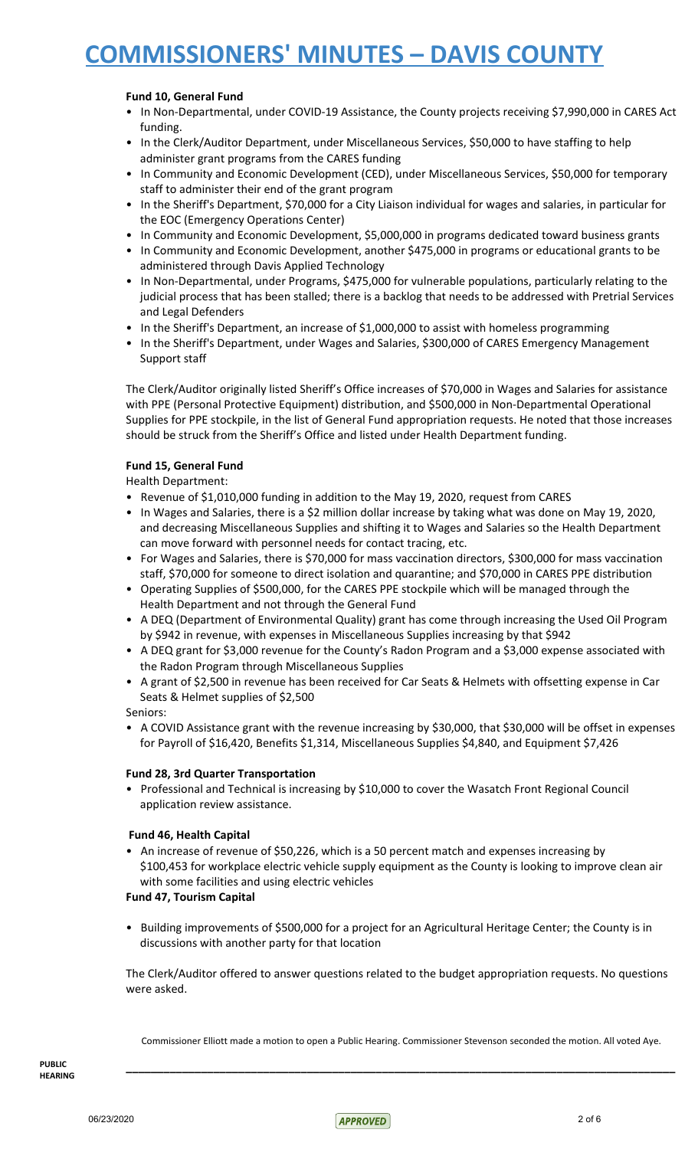### **Fund 10, General Fund**

- In Non-Departmental, under COVID-19 Assistance, the County projects receiving \$7,990,000 in CARES Act funding.
- In the Clerk/Auditor Department, under Miscellaneous Services, \$50,000 to have staffing to help administer grant programs from the CARES funding
- In Community and Economic Development (CED), under Miscellaneous Services, \$50,000 for temporary staff to administer their end of the grant program
- In the Sheriff's Department, \$70,000 for a City Liaison individual for wages and salaries, in particular for the EOC (Emergency Operations Center)
- In Community and Economic Development, \$5,000,000 in programs dedicated toward business grants
- In Community and Economic Development, another \$475,000 in programs or educational grants to be administered through Davis Applied Technology
- In Non-Departmental, under Programs, \$475,000 for vulnerable populations, particularly relating to the judicial process that has been stalled; there is a backlog that needs to be addressed with Pretrial Services and Legal Defenders
- In the Sheriff's Department, an increase of \$1,000,000 to assist with homeless programming
- In the Sheriff's Department, under Wages and Salaries, \$300,000 of CARES Emergency Management Support staff

The Clerk/Auditor originally listed Sheriff's Office increases of \$70,000 in Wages and Salaries for assistance with PPE (Personal Protective Equipment) distribution, and \$500,000 in Non-Departmental Operational Supplies for PPE stockpile, in the list of General Fund appropriation requests. He noted that those increases should be struck from the Sheriff's Office and listed under Health Department funding.

### **Fund 15, General Fund**

Health Department:

- Revenue of \$1,010,000 funding in addition to the May 19, 2020, request from CARES
- In Wages and Salaries, there is a \$2 million dollar increase by taking what was done on May 19, 2020, and decreasing Miscellaneous Supplies and shifting it to Wages and Salaries so the Health Department can move forward with personnel needs for contact tracing, etc.
- For Wages and Salaries, there is \$70,000 for mass vaccination directors, \$300,000 for mass vaccination staff, \$70,000 for someone to direct isolation and quarantine; and \$70,000 in CARES PPE distribution
- Operating Supplies of \$500,000, for the CARES PPE stockpile which will be managed through the Health Department and not through the General Fund
- A DEQ (Department of Environmental Quality) grant has come through increasing the Used Oil Program by \$942 in revenue, with expenses in Miscellaneous Supplies increasing by that \$942
- A DEQ grant for \$3,000 revenue for the County's Radon Program and a \$3,000 expense associated with the Radon Program through Miscellaneous Supplies
- A grant of \$2,500 in revenue has been received for Car Seats & Helmets with offsetting expense in Car Seats & Helmet supplies of \$2,500

Seniors:

• A COVID Assistance grant with the revenue increasing by \$30,000, that \$30,000 will be offset in expenses for Payroll of \$16,420, Benefits \$1,314, Miscellaneous Supplies \$4,840, and Equipment \$7,426

### **Fund 28, 3rd Quarter Transportation**

• Professional and Technical is increasing by \$10,000 to cover the Wasatch Front Regional Council application review assistance.

### **Fund 46, Health Capital**

• An increase of revenue of \$50,226, which is a 50 percent match and expenses increasing by \$100,453 for workplace electric vehicle supply equipment as the County is looking to improve clean air with some facilities and using electric vehicles

### **Fund 47, Tourism Capital**

• Building improvements of \$500,000 for a project for an Agricultural Heritage Center; the County is in discussions with another party for that location

The Clerk/Auditor offered to answer questions related to the budget appropriation requests. No questions were asked.

Commissioner Elliott made a motion to open a Public Hearing. Commissioner Stevenson seconded the motion. All voted Aye.

**\_\_\_\_\_\_\_\_\_\_\_\_\_\_\_\_\_\_\_\_\_\_\_\_\_\_\_\_\_\_\_\_\_\_\_\_\_\_\_\_\_\_\_\_\_\_\_\_\_\_\_\_\_\_\_\_\_\_\_\_\_\_\_\_\_\_\_\_\_\_\_\_\_\_\_\_\_\_\_\_\_\_\_\_\_\_\_\_**

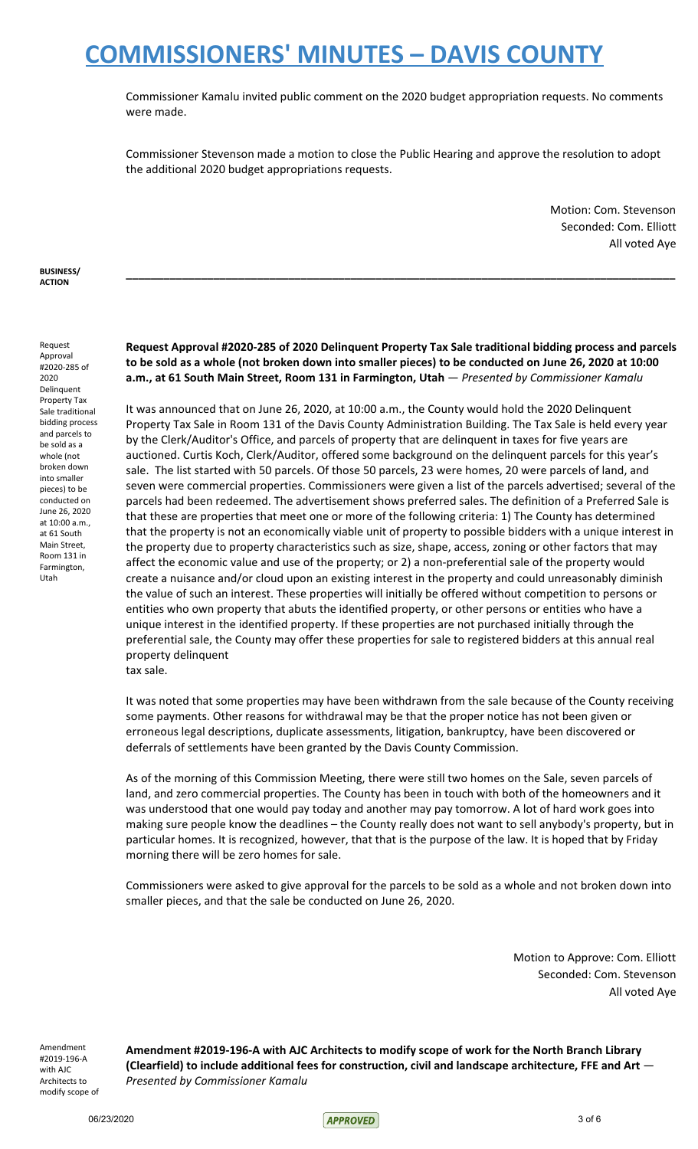Commissioner Kamalu invited public comment on the 2020 budget appropriation requests. No comments were made.

Commissioner Stevenson made a motion to close the Public Hearing and approve the resolution to adopt the additional 2020 budget appropriations requests.

> Motion: Com. Stevenson Seconded: Com. Elliott All voted Aye

**BUSINESS/ ACTION**

Request Approval #2020-285 of 2020 Delinquent Property Tax Sale traditional bidding process and parcels to be sold as a whole (not broken down into smaller pieces) to be conducted on June 26, 2020 at 10:00 a.m., at 61 South Main Street, Room 131 in Farmington, Utah

**Request Approval #2020-285 of 2020 Delinquent Property Tax Sale traditional bidding process and parcels** to be sold as a whole (not broken down into smaller pieces) to be conducted on June 26, 2020 at 10:00 **a.m., at 61 South Main Street, Room 131 in Farmington, Utah** — *Presented by Commissioner Kamalu*

**\_\_\_\_\_\_\_\_\_\_\_\_\_\_\_\_\_\_\_\_\_\_\_\_\_\_\_\_\_\_\_\_\_\_\_\_\_\_\_\_\_\_\_\_\_\_\_\_\_\_\_\_\_\_\_\_\_\_\_\_\_\_\_\_\_\_\_\_\_\_\_\_\_\_\_\_\_\_\_\_\_\_\_\_\_\_\_\_**

It was announced that on June 26, 2020, at 10:00 a.m., the County would hold the 2020 Delinquent Property Tax Sale in Room 131 of the Davis County Administration Building. The Tax Sale is held every year by the Clerk/Auditor's Office, and parcels of property that are delinquent in taxes for five years are auctioned. Curtis Koch, Clerk/Auditor, offered some background on the delinquent parcels for this year's sale. The list started with 50 parcels. Of those 50 parcels, 23 were homes, 20 were parcels of land, and seven were commercial properties. Commissioners were given a list of the parcels advertised; several of the parcels had been redeemed. The advertisement shows preferred sales. The definition of a Preferred Sale is that these are properties that meet one or more of the following criteria: 1) The County has determined that the property is not an economically viable unit of property to possible bidders with a unique interest in the property due to property characteristics such as size, shape, access, zoning or other factors that may affect the economic value and use of the property; or 2) a non-preferential sale of the property would create a nuisance and/or cloud upon an existing interest in the property and could unreasonably diminish the value of such an interest. These properties will initially be offered without competition to persons or entities who own property that abuts the identified property, or other persons or entities who have a unique interest in the identified property. If these properties are not purchased initially through the preferential sale, the County may offer these properties for sale to registered bidders at this annual real property delinquent

tax sale.

It was noted that some properties may have been withdrawn from the sale because of the County receiving some payments. Other reasons for withdrawal may be that the proper notice has not been given or erroneous legal descriptions, duplicate assessments, litigation, bankruptcy, have been discovered or deferrals of settlements have been granted by the Davis County Commission.

As of the morning of this Commission Meeting, there were still two homes on the Sale, seven parcels of land, and zero commercial properties. The County has been in touch with both of the homeowners and it was understood that one would pay today and another may pay tomorrow. A lot of hard work goes into making sure people know the deadlines – the County really does not want to sell anybody's property, but in particular homes. It is recognized, however, that that is the purpose of the law. It is hoped that by Friday morning there will be zero homes for sale.

Commissioners were asked to give approval for the parcels to be sold as a whole and not broken down into smaller pieces, and that the sale be conducted on June 26, 2020.

> Motion to Approve: Com. Elliott Seconded: Com. Stevenson All voted Aye

Amendment #2019-196-A with AJC Architects to modify scope of **Amendment #2019-196-A with AJC Architects to modify scope of work for the North Branch Library (Clearfield) to include additional fees for construction, civil and landscape architecture, FFE and Art** — *Presented by Commissioner Kamalu*

06/23/2020 3 of 6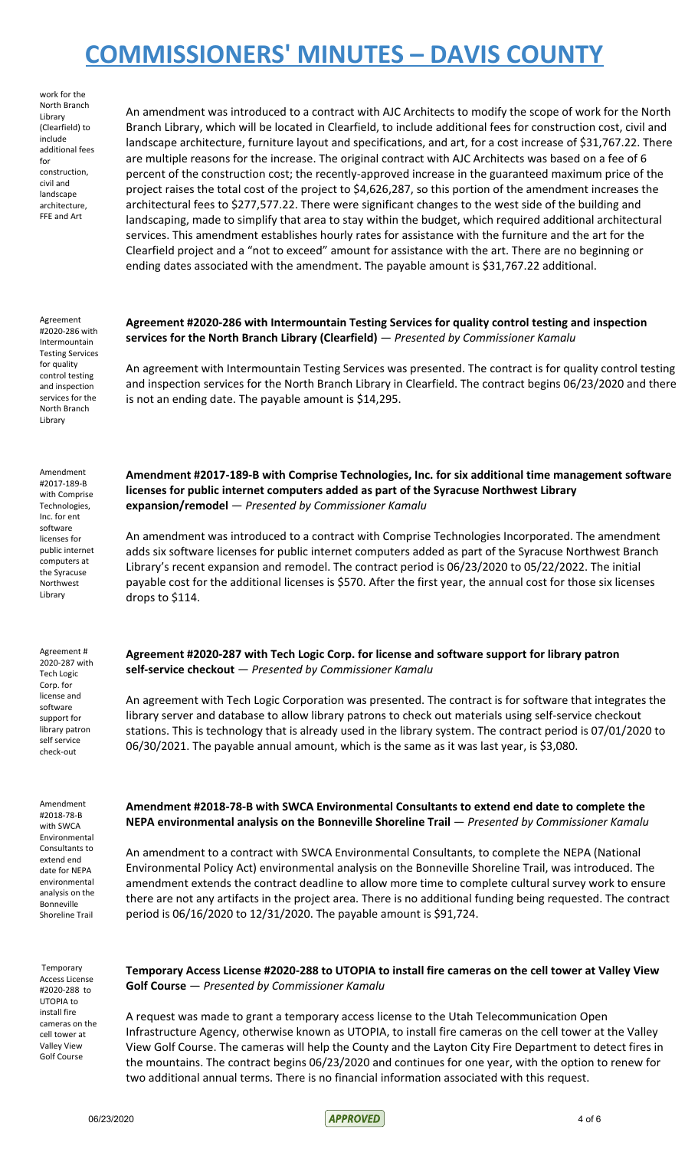work for the North Branch Library (Clearfield) to include additional fees for construction, civil and landscape architecture, FFE and Art

Agreement

for quality control testing and inspection services for the North Branch Library

Amendment #2017-189-B with Comprise Technologies, Inc. for ent software licenses for public internet computers at the Syracuse Northwest Library

Agreement # 2020-287 with Tech Logic Corp. for license and software support for library patron self service check-out

An amendment was introduced to a contract with AJC Architects to modify the scope of work for the North Branch Library, which will be located in Clearfield, to include additional fees for construction cost, civil and landscape architecture, furniture layout and specifications, and art, for a cost increase of \$31,767.22. There are multiple reasons for the increase. The original contract with AJC Architects was based on a fee of 6 percent of the construction cost; the recently-approved increase in the guaranteed maximum price of the project raises the total cost of the project to \$4,626,287, so this portion of the amendment increases the architectural fees to \$277,577.22. There were significant changes to the west side of the building and landscaping, made to simplify that area to stay within the budget, which required additional architectural services. This amendment establishes hourly rates for assistance with the furniture and the art for the Clearfield project and a "not to exceed" amount for assistance with the art. There are no beginning or ending dates associated with the amendment. The payable amount is \$31,767.22 additional.

#2020-286 with Intermountain Testing Services **Agreement #2020-286 with Intermountain Testing Services for quality control testing and inspection services for the North Branch Library (Clearfield)** — *Presented by Commissioner Kamalu*

> An agreement with Intermountain Testing Services was presented. The contract is for quality control testing and inspection services for the North Branch Library in Clearfield. The contract begins 06/23/2020 and there is not an ending date. The payable amount is \$14,295.

**Amendment #2017-189-B with Comprise Technologies, Inc. for six additional time management software licenses for public internet computers added as part of the Syracuse Northwest Library expansion/remodel** — *Presented by Commissioner Kamalu*

An amendment was introduced to a contract with Comprise Technologies Incorporated. The amendment adds six software licenses for public internet computers added as part of the Syracuse Northwest Branch Library's recent expansion and remodel. The contract period is 06/23/2020 to 05/22/2022. The initial payable cost for the additional licenses is \$570. After the first year, the annual cost for those six licenses drops to \$114.

**Agreement #2020-287 with Tech Logic Corp. for license and software support for library patron self-service checkout** — *Presented by Commissioner Kamalu*

An agreement with Tech Logic Corporation was presented. The contract is for software that integrates the library server and database to allow library patrons to check out materials using self-service checkout stations. This is technology that is already used in the library system. The contract period is 07/01/2020 to 06/30/2021. The payable annual amount, which is the same as it was last year, is \$3,080.

Amendment #2018-78-B with SWCA Environmental Consultants to extend end date for NEPA environmental analysis on the Bonneville Shoreline Trail

Temporary Access License #2020-288 to UTOPIA to install fire cameras on the cell tower at Valley View Golf Course

### **Amendment #2018-78-B with SWCA Environmental Consultants to extend end date to complete the NEPA environmental analysis on the Bonneville Shoreline Trail** — *Presented by Commissioner Kamalu*

An amendment to a contract with SWCA Environmental Consultants, to complete the NEPA (National Environmental Policy Act) environmental analysis on the Bonneville Shoreline Trail, was introduced. The amendment extends the contract deadline to allow more time to complete cultural survey work to ensure there are not any artifacts in the project area. There is no additional funding being requested. The contract period is 06/16/2020 to 12/31/2020. The payable amount is \$91,724.

**Temporary Access License #2020-288 to UTOPIA to install fire cameras on the cell tower at Valley View Golf Course** — *Presented by Commissioner Kamalu*

A request was made to grant a temporary access license to the Utah Telecommunication Open Infrastructure Agency, otherwise known as UTOPIA, to install fire cameras on the cell tower at the Valley View Golf Course. The cameras will help the County and the Layton City Fire Department to detect fires in the mountains. The contract begins 06/23/2020 and continues for one year, with the option to renew for two additional annual terms. There is no financial information associated with this request.

 $06/23/2020$  4 of 6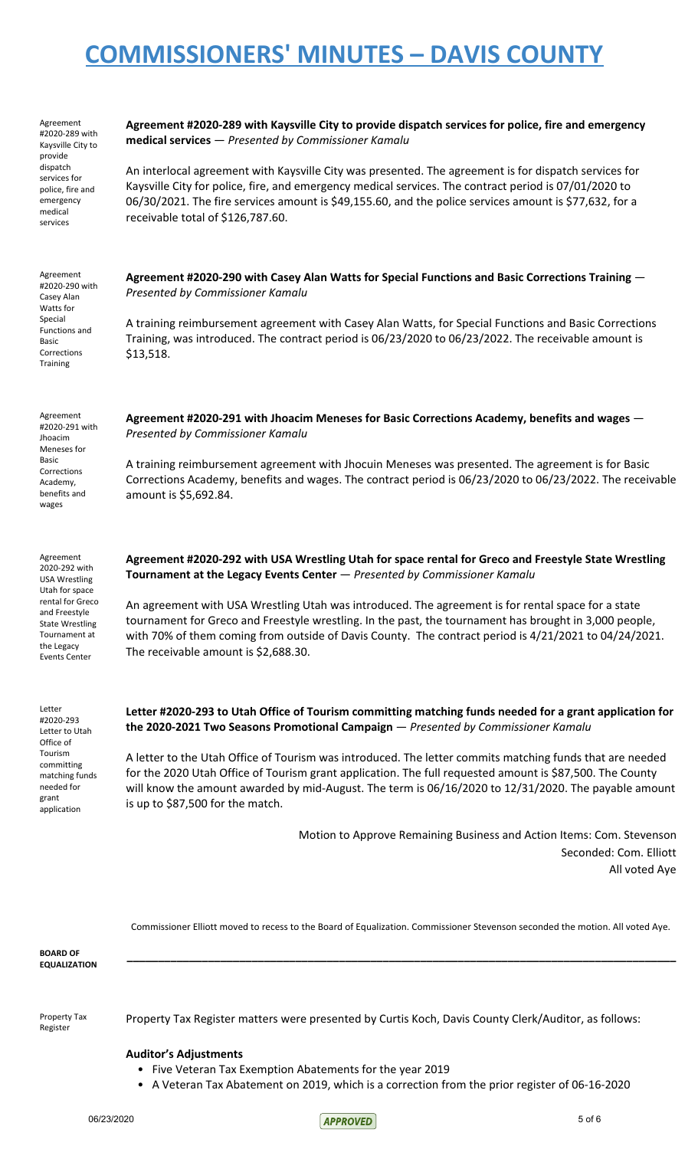Agreement #2020-289 with Kaysville City to provide dispatch services for police, fire and emergency medical services **Agreement #2020-289 with Kaysville City to provide dispatch services for police, fire and emergency medical services** — *Presented by Commissioner Kamalu* An interlocal agreement with Kaysville City was presented. The agreement is for dispatch services for Kaysville City for police, fire, and emergency medical services. The contract period is 07/01/2020 to 06/30/2021. The fire services amount is \$49,155.60, and the police services amount is \$77,632, for a receivable total of \$126,787.60. Agreement #2020-290 with Casey Alan Watts for Special Functions and Basic Corrections Training **Agreement #2020-290 with Casey Alan Watts for Special Functions and Basic Corrections Training** — *Presented by Commissioner Kamalu* A training reimbursement agreement with Casey Alan Watts, for Special Functions and Basic Corrections Training, was introduced. The contract period is 06/23/2020 to 06/23/2022. The receivable amount is \$13,518. Agreement #2020-291 with Jhoacim Meneses for Basic Corrections Academy, benefits and wages **Agreement #2020-291 with Jhoacim Meneses for Basic Corrections Academy, benefits and wages** — *Presented by Commissioner Kamalu* A training reimbursement agreement with Jhocuin Meneses was presented. The agreement is for Basic Corrections Academy, benefits and wages. The contract period is 06/23/2020 to 06/23/2022. The receivable amount is \$5,692.84. Agreement 2020-292 with USA Wrestling Utah for space rental for Greco and Freestyle State Wrestling Tournament at the Legacy Events Center **Agreement #2020-292 with USA Wrestling Utah for space rental for Greco and Freestyle State Wrestling Tournament at the Legacy Events Center** — *Presented by Commissioner Kamalu* An agreement with USA Wrestling Utah was introduced. The agreement is for rental space for a state tournament for Greco and Freestyle wrestling. In the past, the tournament has brought in 3,000 people, with 70% of them coming from outside of Davis County. The contract period is 4/21/2021 to 04/24/2021. The receivable amount is \$2,688.30. Letter #2020-293 **Letter #2020-293 to Utah Office of Tourism committing matching funds needed for a grant application for**

Letter to Utah Office of Tourism committing matching funds needed for grant application

### **the 2020-2021 Two Seasons Promotional Campaign** — *Presented by Commissioner Kamalu*

A letter to the Utah Office of Tourism was introduced. The letter commits matching funds that are needed for the 2020 Utah Office of Tourism grant application. The full requested amount is \$87,500. The County will know the amount awarded by mid-August. The term is 06/16/2020 to 12/31/2020. The payable amount is up to \$87,500 for the match.

> Motion to Approve Remaining Business and Action Items: Com. Stevenson Seconded: Com. Elliott All voted Aye

Commissioner Elliott moved to recess to the Board of Equalization. Commissioner Stevenson seconded the motion. All voted Aye.

**\_\_\_\_\_\_\_\_\_\_\_\_\_\_\_\_\_\_\_\_\_\_\_\_\_\_\_\_\_\_\_\_\_\_\_\_\_\_\_\_\_\_\_\_\_\_\_\_\_\_\_\_\_\_\_\_\_\_\_\_\_\_\_\_\_\_\_\_\_\_\_\_\_\_\_\_\_\_\_\_\_\_\_\_\_\_\_\_**

**BOARD OF EQUALIZATION**

Property Tax Register

Property Tax Register matters were presented by Curtis Koch, Davis County Clerk/Auditor, as follows:

### **Auditor's Adjustments**

- Five Veteran Tax Exemption Abatements for the year 2019
- A Veteran Tax Abatement on 2019, which is a correction from the prior register of 06-16-2020

06/23/2020 5 of 6